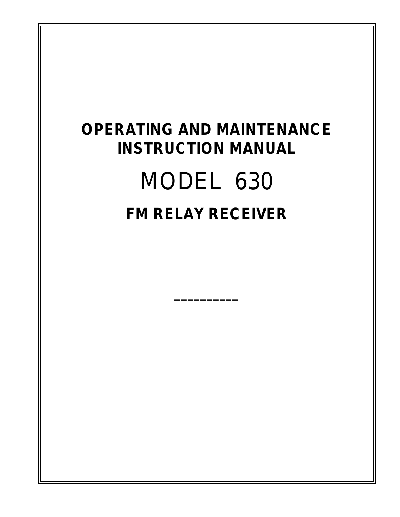## **OPERATING AND MAINTENANCE INSTRUCTION MANUAL**

# MODEL 630 **FM RELAY RECEIVER**

**\_\_\_\_\_\_\_\_\_\_**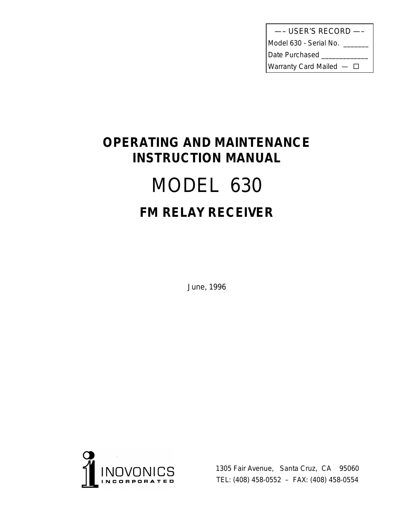| --- USER'S RECORD -          |
|------------------------------|
| Model 630 - Serial No.       |
| Date Purchased               |
| Warranty Card Mailed $-\Box$ |

## **OPERATING AND MAINTENANCE INSTRUCTION MANUAL** MODEL 630 **FM RELAY RECEIVER**

June, 1996



1305 Fair Avenue, Santa Cruz, CA 95060 TEL: (408) 458-0552 – FAX: (408) 458-0554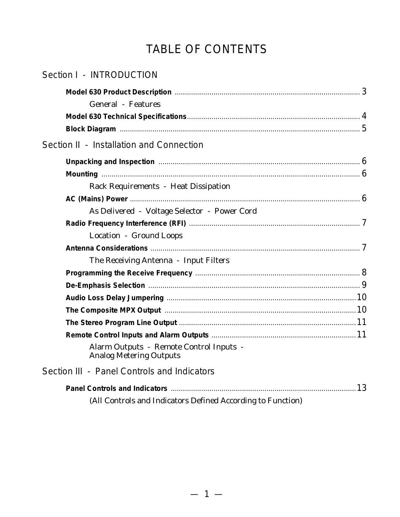## TABLE OF CONTENTS

| Section I - INTRODUCTION                                                                                                                   |  |
|--------------------------------------------------------------------------------------------------------------------------------------------|--|
| <b>General</b> - Features                                                                                                                  |  |
|                                                                                                                                            |  |
|                                                                                                                                            |  |
| Section II - Installation and Connection                                                                                                   |  |
| Unpacking and Inspection manufactured and the set of the set of the set of the Unpacking and Inspection manufactured and the United States |  |
|                                                                                                                                            |  |
| Rack Requirements - Heat Dissipation                                                                                                       |  |
|                                                                                                                                            |  |
| As Delivered - Voltage Selector - Power Cord                                                                                               |  |
|                                                                                                                                            |  |
| Location - Ground Loops                                                                                                                    |  |
|                                                                                                                                            |  |
| The Receiving Antenna - Input Filters                                                                                                      |  |
|                                                                                                                                            |  |
|                                                                                                                                            |  |
|                                                                                                                                            |  |
|                                                                                                                                            |  |
|                                                                                                                                            |  |
|                                                                                                                                            |  |
| Alarm Outputs - Remote Control Inputs -<br><b>Analog Metering Outputs</b>                                                                  |  |
| Section III - Panel Controls and Indicators                                                                                                |  |
|                                                                                                                                            |  |
| (All Controls and Indicators Defined According to Function)                                                                                |  |
|                                                                                                                                            |  |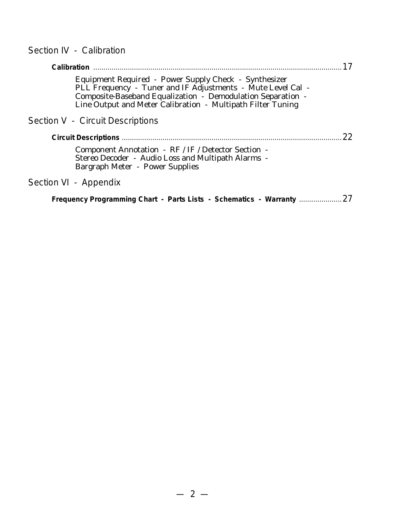### Section IV - Calibration

| Calibration                                                                                                                                                                                                                                        |              |
|----------------------------------------------------------------------------------------------------------------------------------------------------------------------------------------------------------------------------------------------------|--------------|
| Equipment Required - Power Supply Check - Synthesizer<br>PLL Frequency - Tuner and IF Adjustments - Mute Level Cal -<br>Composite-Baseband Equalization - Demodulation Separation -<br>Line Output and Meter Calibration - Multipath Filter Tuning |              |
| Section V - Circuit Descriptions                                                                                                                                                                                                                   |              |
|                                                                                                                                                                                                                                                    | $22^{\circ}$ |
| Component Annotation - RF / IF / Detector Section -<br>Stereo Decoder - Audio Loss and Multipath Alarms -<br>Bargraph Meter - Power Supplies                                                                                                       |              |
| Section VI - Appendix                                                                                                                                                                                                                              |              |
|                                                                                                                                                                                                                                                    |              |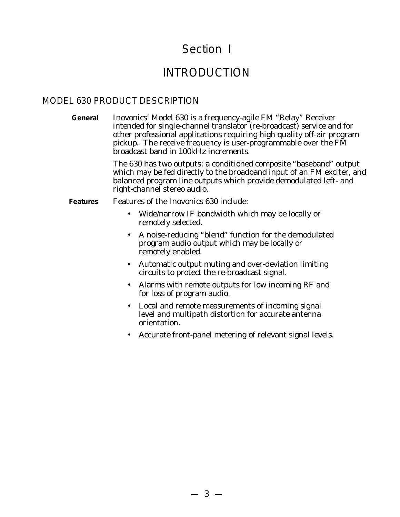## Section I

## INTRODUCTION

#### MODEL 630 PRODUCT DESCRIPTION

**General** Inovonics' Model 630 is a frequency-agile FM "Relay" Receiver intended for single-channel translator (re-broadcast) service and for other professional applications requiring high quality off-air program pickup. The receive frequency is user-programmable over the FM broadcast band in 100kHz increments.

> The 630 has two outputs: a conditioned composite "baseband" output which may be fed directly to the broadband input of an FM exciter, and balanced program line outputs which provide demodulated left- and right-channel stereo audio.

#### **Features** Features of the Inovonics 630 include:

- Wide/narrow IF bandwidth which may be locally or remotely selected.
- A noise-reducing "blend" function for the demodulated program audio output which may be locally or remotely enabled.
- Automatic output muting and over-deviation limiting circuits to protect the re-broadcast signal.
- Alarms with remote outputs for low incoming RF and for loss of program audio.
- Local and remote measurements of incoming signal level and multipath distortion for accurate antenna orientation.
- Accurate front-panel metering of relevant signal levels.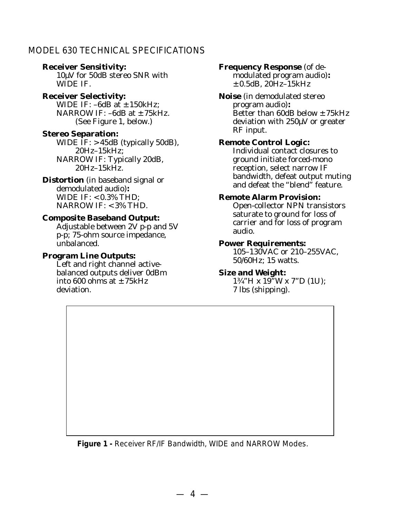#### MODEL 630 TECHNICAL SPECIFICATIONS

#### **Receiver Sensitivity:**

10µV for 50dB stereo SNR with WIDE IF.

#### **Receiver Selectivity:**

WIDE IF:  $-6dB$  at  $\pm$  150kHz; NARROW IF:  $-6dB$  at  $\pm 75kHz$ . (See Figure 1, below.)

#### **Stereo Separation:**

WIDE  $IF: > 45dB$  (typically 50dB), 20Hz–15kHz; NARROW IF: Typically 20dB, 20Hz–15kHz.

#### **Distortion** (in baseband signal or demodulated audio)**:** WIDE IF: < 0.3% THD; NARROW IF: <3% THD.

#### **Composite Baseband Output:**

Adjustable between 2V p-p and 5V p-p; 75-ohm source impedance, unbalanced.

#### **Program Line Outputs:**

Left and right channel activebalanced outputs deliver 0dBm into 600 ohms at  $\pm$  75kHz deviation.

#### **Frequency Response** (of de-

modulated program audio)**:**  $\pm$  0.5dB, 20Hz–15kHz

**Noise** (in demodulated stereo program audio)**:** Better than 60dB below  $\pm$  75kHz deviation with 250µV or greater RF input.

#### **Remote Control Logic:**

Individual contact closures to ground initiate forced-mono reception, select narrow IF bandwidth, defeat output muting and defeat the "blend" feature.

#### **Remote Alarm Provision:**

Open-collector NPN transistors saturate to ground for loss of carrier and for loss of program audio.

#### **Power Requirements:**

105–130VAC or 210–255VAC, 50/60Hz; 15 watts.

#### **Size and Weight:**

1¾"H x 19"W x 7"D (1U); 7 lbs (shipping).

**Figure 1 -** Receiver RF/IF Bandwidth, WIDE and NARROW Modes.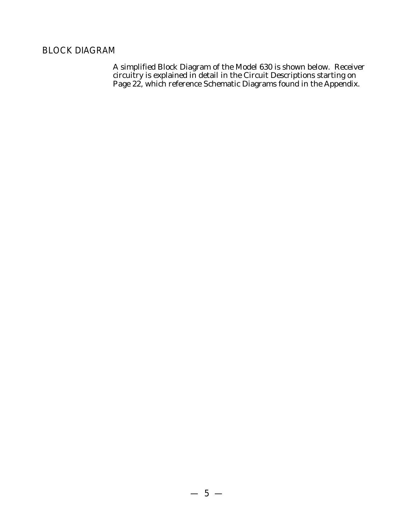#### BLOCK DIAGRAM

A simplified Block Diagram of the Model 630 is shown below. Receiver circuitry is explained in detail in the Circuit Descriptions starting on Page 22, which reference Schematic Diagrams found in the Appendix.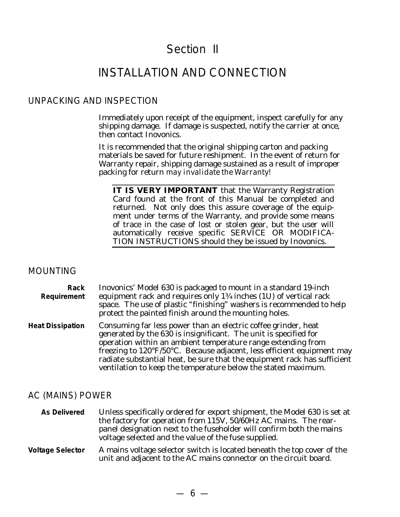## Section II

## INSTALLATION AND CONNECTION

#### UNPACKING AND INSPECTION

Immediately upon receipt of the equipment, inspect carefully for any shipping damage. If damage is suspected, notify the carrier at once, then contact Inovonics.

It is recommended that the original shipping carton and packing materials be saved for future reshipment. In the event of return for Warranty repair, shipping damage sustained as a result of improper packing for return *may invalidate the Warranty!*

**IT IS VERY IMPORTANT** that the Warranty Registration Card found at the front of this Manual be completed and returned. Not only does this assure coverage of the equipment under terms of the Warranty, and provide some means of trace in the case of lost or stolen gear, but the user will automatically receive specific SERVICE OR MODIFICA-TION INSTRUCTIONS should they be issued by Inovonics.

#### MOUNTING

**Rack Requirement** Inovonics' Model 630 is packaged to mount in a standard 19-inch equipment rack and requires only 1¾ inches (1U) of vertical rack space. The use of plastic "finishing" washers is recommended to help protect the painted finish around the mounting holes.

**Heat Dissipation** Consuming far less power than an electric coffee grinder, heat generated by the 630 is insignificant. The unit is specified for operation within an ambient temperature range extending from freezing to 120°F/50°C. Because adjacent, less efficient equipment may radiate substantial heat, be sure that the equipment rack has sufficient ventilation to keep the temperature below the stated maximum.

#### AC (MAINS) POWER

**As Delivered** Unless specifically ordered for export shipment, the Model 630 is set at the factory for operation from 115V, 50/60Hz AC mains. The rearpanel designation next to the fuseholder will confirm both the mains voltage selected and the value of the fuse supplied.

**Voltage Selector** A mains voltage selector switch is located beneath the top cover of the unit and adjacent to the AC mains connector on the circuit board.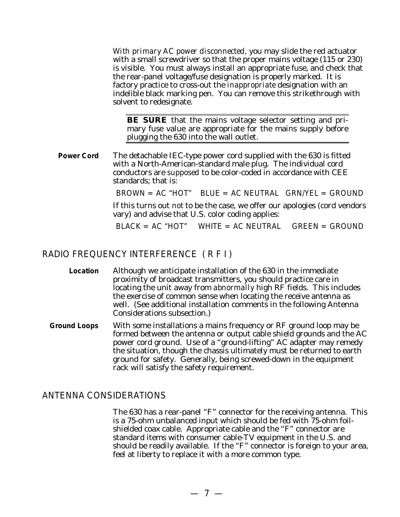*With primary AC power disconnected,* you may slide the red actuator with a small screwdriver so that the proper mains voltage (115 or 230) is visible. You must always install an appropriate fuse, and check that the rear-panel voltage/fuse designation is properly marked. It is factory practice to cross-out the *inappropriate* designation with an indelible black marking pen. You can remove this strikethrough with solvent to redesignate.

**BE SURE** that the mains voltage selector setting and primary fuse value are appropriate for the mains supply before plugging the 630 into the wall outlet.

**Power Cord** The detachable IEC-type power cord supplied with the 630 is fitted with a North-American-standard male plug. The individual cord conductors are *supposed* to be color-coded in accordance with CEE standards; that is:

 $BROWN = AC <sup>''</sup>HOT''$  BLUE = AC NEUTRAL GRN/YEL = GROUND

If this turns out *not* to be the case, we offer our apologies (cord vendors vary) and advise that U.S. color coding applies:

 $BLACK = AC$  "HOT" WHITE = AC NEUTRAL GREEN = GROUND

#### RADIO FREQUENCY INTERFERENCE ( R F I )

- **Location** Although we anticipate installation of the 630 in the immediate proximity of broadcast transmitters, you should practice care in locating the unit away from *abnormally* high RF fields. This includes the exercise of common sense when locating the receive antenna as well. (See additional installation comments in the following Antenna Considerations subsection.)
- **Ground Loops** With some installations a mains frequency or RF ground loop may be formed between the antenna or output cable shield grounds and the AC power cord ground. Use of a "ground-lifting" AC adapter may remedy the situation, though the chassis ultimately must be returned to earth ground for safety. Generally, being screwed-down in the equipment rack will satisfy the safety requirement.

#### ANTENNA CONSIDERATIONS

The 630 has a rear-panel "F" connector for the receiving antenna. This is a 75-ohm unbalanced input which should be fed with 75-ohm foilshielded coax cable. Appropriate cable and the "F" connector are standard items with consumer cable-TV equipment in the U.S. and should be readily available. If the "F" connector is foreign to your area, feel at liberty to replace it with a more common type.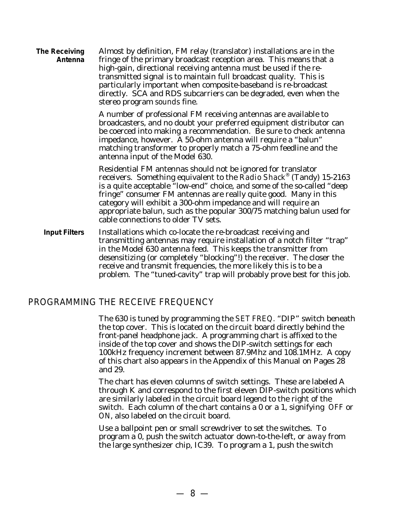**The Receiving Antenna** Almost by definition, FM relay (translator) installations are in the fringe of the primary broadcast reception area. This means that a high-gain, directional receiving antenna must be used if the retransmitted signal is to maintain full broadcast quality. This is particularly important when composite-baseband is re-broadcast directly. SCA and RDS subcarriers can be degraded, even when the stereo program *sounds* fine.

> A number of professional FM receiving antennas are available to broadcasters, and no doubt your preferred equipment distributor can be coerced into making a recommendation. Be sure to check antenna impedance, however. A 50-ohm antenna will require a "balun" matching transformer to properly match a 75-ohm feedline and the antenna input of the Model 630.

Residential FM antennas should not be ignored for translator receivers. Something equivalent to the *Radio Shack*® (Tandy) 15-2163 is a quite acceptable "low-end" choice, and some of the so-called "deep fringe" consumer FM antennas are really quite good. Many in this category will exhibit a 300-ohm impedance and will require an appropriate balun, such as the popular 300/75 matching balun used for cable connections to older TV sets.

**Input Filters** Installations which co-locate the re-broadcast receiving and transmitting antennas may require installation of a notch filter "trap" in the Model 630 antenna feed. This keeps the transmitter from desensitizing (or completely "blocking"!) the receiver. The closer the receive and transmit frequencies, the more likely this is to be a problem. The "tuned-cavity" trap will probably prove best for this job.

#### PROGRAMMING THE RECEIVE FREQUENCY

The 630 is tuned by programming the SET FREQ. "DIP" switch beneath the top cover. This is located on the circuit board directly behind the front-panel headphone jack. A programming chart is affixed to the inside of the top cover and shows the DIP-switch settings for each 100kHz frequency increment between 87.9Mhz and 108.1MHz. A copy of this chart also appears in the Appendix of this Manual on Pages 28 and 29.

The chart has eleven columns of switch settings. These are labeled A through K and correspond to the first eleven DIP-switch positions which are similarly labeled in the circuit board legend to the right of the switch. Each column of the chart contains a 0 or a 1, signifying OFF or ON, also labeled on the circuit board.

Use a ballpoint pen or small screwdriver to set the switches. To program a 0, push the switch actuator down-to-the-left, or *away* from the large synthesizer chip, IC39. To program a 1, push the switch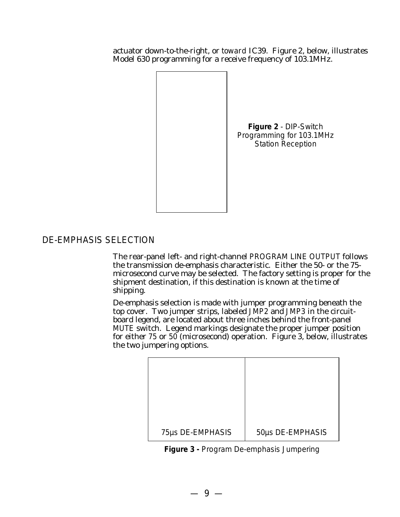actuator down-to-the-right, or *toward* IC39. Figure 2, below, illustrates Model 630 programming for a receive frequency of 103.1MHz.



#### DE-EMPHASIS SELECTION

The rear-panel left- and right-channel PROGRAM LINE OUTPUT follows the transmission de-emphasis characteristic. Either the 50- or the 75 microsecond curve may be selected. The factory setting is proper for the shipment destination, if this destination is known at the time of shipping.

De-emphasis selection is made with jumper programming beneath the top cover. Two jumper strips, labeled JMP2 and JMP3 in the circuitboard legend, are located about three inches behind the front-panel MUTE switch. Legend markings designate the proper jumper position for either 75 or 50 (microsecond) operation. Figure 3, below, illustrates the two jumpering options.

| 75µs DE-EMPHASIS | 50µs DE-EMPHASIS |
|------------------|------------------|

**Figure 3 -** Program De-emphasis Jumpering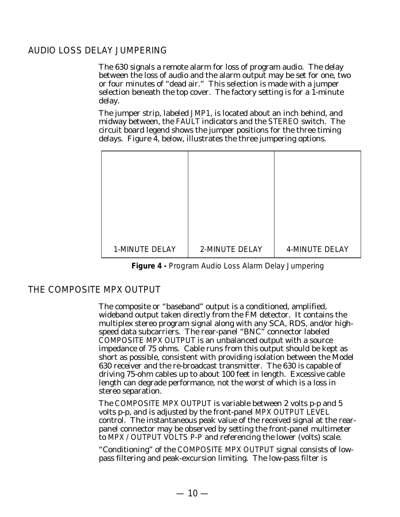#### AUDIO LOSS DELAY JUMPERING

The 630 signals a remote alarm for loss of program audio. The delay between the loss of audio and the alarm output may be set for one, two or four minutes of "dead air." This selection is made with a jumper selection beneath the top cover. The factory setting is for a 1-minute delay.

The jumper strip, labeled JMP1, is located about an inch behind, and midway between, the FAULT indicators and the STEREO switch. The circuit board legend shows the jumper positions for the three timing delays. Figure 4, below, illustrates the three jumpering options.

| 1-MINUTE DELAY | 2-MINUTE DELAY | 4-MINUTE DELAY |
|----------------|----------------|----------------|

**Figure 4 -** Program Audio Loss Alarm Delay Jumpering

#### THE COMPOSITE MPX OUTPUT

The composite or "baseband" output is a conditioned, amplified, wideband output taken directly from the FM detector. It contains the multiplex stereo program signal along with any SCA, RDS, and/or highspeed data subcarriers. The rear-panel "BNC" connector labeled COMPOSITE MPX OUTPUT is an unbalanced output with a source impedance of 75 ohms. Cable runs from this output should be kept as short as possible, consistent with providing isolation between the Model 630 receiver and the re-broadcast transmitter. The 630 is capable of driving 75-ohm cables up to about 100 feet in length. Excessive cable length can degrade performance, not the worst of which is a loss in stereo separation.

The COMPOSITE MPX OUTPUT is variable between 2 volts p-p and 5 volts p-p, and is adjusted by the front-panel MPX OUTPUT LEVEL control. The instantaneous peak value of the received signal at the rearpanel connector may be observed by setting the front-panel multimeter to MPX / OUTPUT VOLTS P-P and referencing the lower (volts) scale.

"Conditioning" of the COMPOSITE MPX OUTPUT signal consists of lowpass filtering and peak-excursion limiting. The low-pass filter is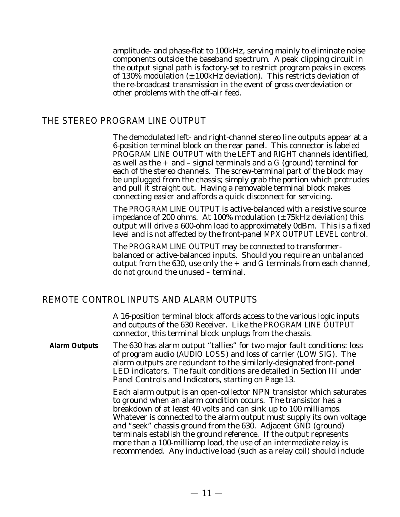amplitude- and phase-flat to 100kHz, serving mainly to eliminate noise components outside the baseband spectrum. A peak clipping circuit in the output signal path is factory-set to restrict program peaks in excess of 130% modulation  $(\pm 100$ kHz deviation). This restricts deviation of the re-broadcast transmission in the event of gross overdeviation or other problems with the off-air feed.

#### THE STEREO PROGRAM LINE OUTPUT

The demodulated left- and right-channel stereo line outputs appear at a 6-position terminal block on the rear panel. This connector is labeled PROGRAM LINE OUTPUT with the LEFT and RIGHT channels identified, as well as the  $+$  and  $-$  signal terminals and a G (ground) terminal for each of the stereo channels. The screw-terminal part of the block may be unplugged from the chassis; simply grab the portion which protrudes and pull it straight out. Having a removable terminal block makes connecting easier and affords a quick disconnect for servicing.

The PROGRAM LINE OUTPUT is active-balanced with a resistive source impedance of 200 ohms. At 100% modulation  $(\pm 75 \text{kHz}$  deviation) this output will drive a 600-ohm load to approximately 0dBm. This is a *fixed* level and is *not* affected by the front-panel MPX OUTPUT LEVEL control.

The PROGRAM LINE OUTPUT may be connected to transformerbalanced or active-balanced inputs. Should you require an *unbalanced* output from the 630, use only the  $+$  and G terminals from each channel, *do not ground* the unused – terminal.

#### REMOTE CONTROL INPUTS AND ALARM OUTPUTS

A 16-position terminal block affords access to the various logic inputs and outputs of the 630 Receiver. Like the PROGRAM LINE OUTPUT connector, this terminal block unplugs from the chassis.

**Alarm Outputs** The 630 has alarm output "tallies" for two major fault conditions: loss of program audio (AUDIO LOSS) and loss of carrier (LOW SIG). The alarm outputs are redundant to the similarly-designated front-panel LED indicators. The fault conditions are detailed in Section III under Panel Controls and Indicators, starting on Page 13.

> Each alarm output is an open-collector NPN transistor which saturates to ground when an alarm condition occurs. The transistor has a breakdown of at least 40 volts and can sink up to 100 milliamps. Whatever is connected to the alarm output must supply its own voltage and "seek" chassis ground from the 630. Adjacent GND (ground) terminals establish the ground reference. If the output represents more than a 100-milliamp load, the use of an intermediate relay is recommended. Any inductive load (such as a relay coil) should include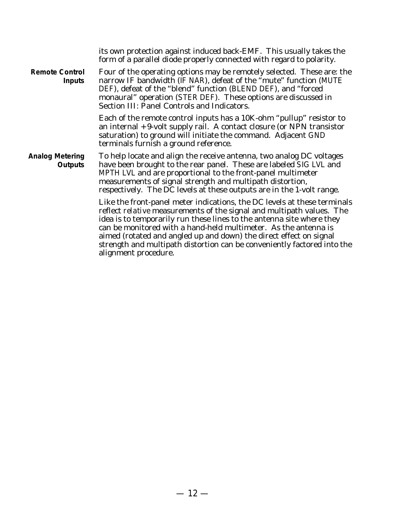|                                          | its own protection against induced back-EMF. This usually takes the<br>form of a parallel diode properly connected with regard to polarity.                                                                                                                                                                                                                                                                                                                            |
|------------------------------------------|------------------------------------------------------------------------------------------------------------------------------------------------------------------------------------------------------------------------------------------------------------------------------------------------------------------------------------------------------------------------------------------------------------------------------------------------------------------------|
| <b>Remote Control</b><br><b>Inputs</b>   | Four of the operating options may be remotely selected. These are: the<br>narrow IF bandwidth (IF NAR), defeat of the "mute" function (MUTE<br>DEF), defeat of the "blend" function (BLEND DEF), and "forced<br>monaural" operation (STER DEF). These options are discussed in<br>Section III: Panel Controls and Indicators.                                                                                                                                          |
|                                          | Each of the remote control inputs has a 10K-ohm "pullup" resistor to<br>an internal $+9$ -volt supply rail. A contact closure (or NPN transistor<br>saturation) to ground will initiate the command. Adjacent GND<br>terminals furnish a ground reference.                                                                                                                                                                                                             |
| <b>Analog Metering</b><br><b>Outputs</b> | To help locate and align the receive antenna, two analog DC voltages<br>have been brought to the rear panel. These are labeled SIG LVL and<br>MPTH LVL and are proportional to the front-panel multimeter<br>measurements of signal strength and multipath distortion,<br>respectively. The DC levels at these outputs are in the 1-volt range.                                                                                                                        |
|                                          | Like the front-panel meter indications, the DC levels at these terminals<br>reflect relative measurements of the signal and multipath values. The<br>idea is to temporarily run these lines to the antenna site where they<br>can be monitored with a hand-held multimeter. As the antenna is<br>aimed (rotated and angled up and down) the direct effect on signal<br>strength and multipath distortion can be conveniently factored into the<br>alignment procedure. |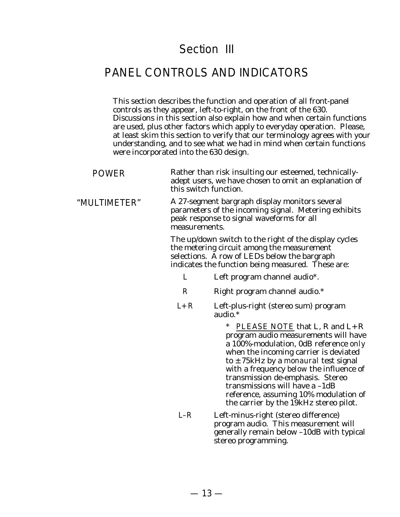## Section III

## PANEL CONTROLS AND INDICATORS

This section describes the function and operation of all front-panel controls as they appear, left-to-right, on the front of the 630. Discussions in this section also explain how and when certain functions are used, plus other factors which apply to everyday operation. Please, at least skim this section to verify that our terminology agrees with your understanding, and to see what we had in mind when certain functions were incorporated into the 630 design.

| <b>POWER</b> |               | Rather than risk insulting our esteemed, technically-<br>adept users, we have chosen to omit an explanation of<br>this switch function.                                                                                                                                                                                                                                                                                      |
|--------------|---------------|------------------------------------------------------------------------------------------------------------------------------------------------------------------------------------------------------------------------------------------------------------------------------------------------------------------------------------------------------------------------------------------------------------------------------|
| "MULTIMETER" | measurements. | A 27-segment bargraph display monitors several<br>parameters of the incoming signal. Metering exhibits<br>peak response to signal waveforms for all                                                                                                                                                                                                                                                                          |
|              |               | The up/down switch to the right of the display cycles<br>the metering circuit among the measurement<br>selections. A row of LEDs below the bargraph<br>indicates the function being measured. These are:                                                                                                                                                                                                                     |
|              | L             | Left program channel audio*.                                                                                                                                                                                                                                                                                                                                                                                                 |
|              | R             | Right program channel audio.*                                                                                                                                                                                                                                                                                                                                                                                                |
|              | $L + R$       | Left-plus-right (stereo sum) program<br>audio.*                                                                                                                                                                                                                                                                                                                                                                              |
|              |               | PLEASE NOTE that L, R and $L + R$<br>$\ast$<br>program audio measurements will have<br>a 100%-modulation, 0dB reference only<br>when the incoming carrier is deviated<br>to $\pm$ 75kHz by a <i>monaural</i> test signal<br>with a frequency below the influence of<br>transmission de-emphasis. Stereo<br>transmissions will have a -1dB<br>reference, assuming 10% modulation of<br>the carrier by the 19kHz stereo pilot. |
|              | $L-R$         | Left-minus-right (stereo difference)                                                                                                                                                                                                                                                                                                                                                                                         |

program audio. This measurement will generally remain below –10dB with typical stereo programming.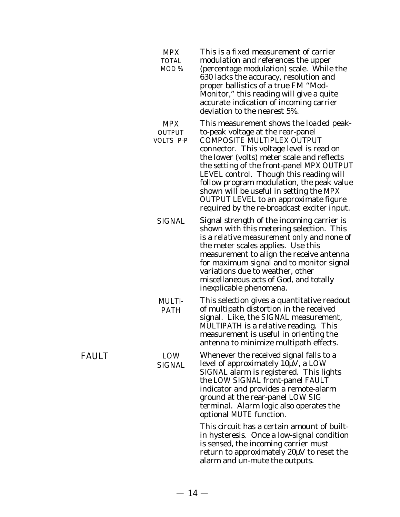| <b>MPX</b><br><b>TOTAL</b><br>MOD % | This is a <i>fixed</i> measurement of carrier<br>modulation and references the upper<br>(percentage modulation) scale. While the<br>630 lacks the accuracy, resolution and<br>proper ballistics of a true FM "Mod-<br>Monitor," this reading will give a quite<br>accurate indication of incoming carrier<br>deviation to the nearest 5%.                                                                                                                                           |
|-------------------------------------|-------------------------------------------------------------------------------------------------------------------------------------------------------------------------------------------------------------------------------------------------------------------------------------------------------------------------------------------------------------------------------------------------------------------------------------------------------------------------------------|
| <b>MPX</b><br>OUTPUT<br>VOLTS P-P   | This measurement shows the <i>loaded</i> peak-<br>to-peak voltage at the rear-panel<br>COMPOSITE MULTIPLEX OUTPUT<br>connector. This voltage level is read on<br>the lower (volts) meter scale and reflects<br>the setting of the front-panel MPX OUTPUT<br>LEVEL control. Though this reading will<br>follow program modulation, the peak value<br>shown will be useful in setting the MPX<br>OUTPUT LEVEL to an approximate figure<br>required by the re-broadcast exciter input. |
| <b>SIGNAL</b>                       | Signal strength of the incoming carrier is<br>shown with this metering selection. This<br>is a relative measurement only and none of<br>the meter scales applies. Use this<br>measurement to align the receive antenna<br>for maximum signal and to monitor signal<br>variations due to weather, other<br>miscellaneous acts of God, and totally<br>inexplicable phenomena.                                                                                                         |
| <b>MULTI-</b><br><b>PATH</b>        | This selection gives a quantitative readout<br>of multipath distortion in the received<br>signal. Like, the SIGNAL measurement,<br>MULTIPATH is a <i>relative</i> reading. This<br>measurement is useful in orienting the<br>antenna to minimize multipath effects.                                                                                                                                                                                                                 |
| LOW<br><b>SIGNAL</b>                | Whenever the received signal falls to a<br>level of approximately 10µV, a LOW<br>SIGNAL alarm is registered. This lights<br>the LOW SIGNAL front-panel FAULT<br>indicator and provides a remote-alarm<br>ground at the rear-panel LOW SIG<br>terminal. Alarm logic also operates the<br>optional MUTE function.                                                                                                                                                                     |
|                                     | This circuit has a certain amount of built-<br>in hysteresis. Once a low-signal condition<br>is sensed, the incoming carrier must<br>return to approximately 20µV to reset the<br>alarm and un-mute the outputs.                                                                                                                                                                                                                                                                    |

 $-14-$ 

FAULT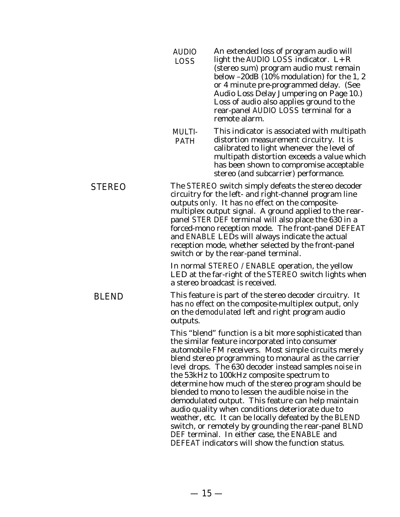|               | <b>AUDIO</b><br><b>LOSS</b>  | An extended loss of program audio will<br>light the AUDIO LOSS indicator. $L + R$<br>(stereo sum) program audio must remain<br>below -20dB (10% modulation) for the 1, 2<br>or 4 minute pre-programmed delay. (See<br>Audio Loss Delay Jumpering on Page 10.)<br>Loss of audio also applies ground to the<br>rear-panel AUDIO LOSS terminal for a<br>remote alarm.                                                                                                                                                                                                                                                                                                                                                                                                       |
|---------------|------------------------------|--------------------------------------------------------------------------------------------------------------------------------------------------------------------------------------------------------------------------------------------------------------------------------------------------------------------------------------------------------------------------------------------------------------------------------------------------------------------------------------------------------------------------------------------------------------------------------------------------------------------------------------------------------------------------------------------------------------------------------------------------------------------------|
|               | <b>MULTI-</b><br><b>PATH</b> | This indicator is associated with multipath<br>distortion measurement circuitry. It is<br>calibrated to light whenever the level of<br>multipath distortion exceeds a value which<br>has been shown to compromise acceptable<br>stereo (and subcarrier) performance.                                                                                                                                                                                                                                                                                                                                                                                                                                                                                                     |
| <b>STEREO</b> |                              | The STEREO switch simply defeats the stereo decoder<br>circuitry for the left- and right-channel program line<br>outputs only. It has no effect on the composite-<br>multiplex output signal. A ground applied to the rear-<br>panel STER DEF terminal will also place the 630 in a<br>forced-mono reception mode. The front-panel DEFEAT<br>and ENABLE LEDs will always indicate the actual<br>reception mode, whether selected by the front-panel<br>switch or by the rear-panel terminal.                                                                                                                                                                                                                                                                             |
|               |                              | In normal STEREO / ENABLE operation, the yellow<br>LED at the far-right of the STEREO switch lights when<br>a stereo broadcast is received.                                                                                                                                                                                                                                                                                                                                                                                                                                                                                                                                                                                                                              |
| <b>BLEND</b>  | outputs.                     | This feature is part of the stereo decoder circuitry. It<br>has no effect on the composite-multiplex output, only<br>on the <i>demodulated</i> left and right program audio                                                                                                                                                                                                                                                                                                                                                                                                                                                                                                                                                                                              |
|               |                              | This "blend" function is a bit more sophisticated than<br>the similar feature incorporated into consumer<br>automobile FM receivers. Most simple circuits merely<br>blend stereo programming to monaural as the carrier<br>level drops. The 630 decoder instead samples noise in<br>the 53kHz to 100kHz composite spectrum to<br>determine how much of the stereo program should be<br>blended to mono to lessen the audible noise in the<br>demodulated output. This feature can help maintain<br>audio quality when conditions deteriorate due to<br>weather, etc. It can be locally defeated by the BLEND<br>switch, or remotely by grounding the rear-panel BLND<br>DEF terminal. In either case, the ENABLE and<br>DEFEAT indicators will show the function status. |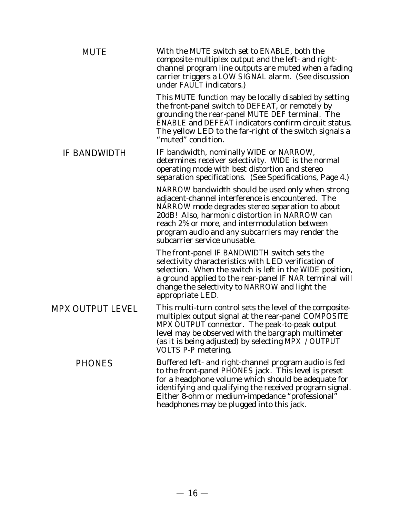| <b>MUTE</b>         | With the MUTE switch set to ENABLE, both the<br>composite-multiplex output and the left- and right-<br>channel program line outputs are muted when a fading<br>carrier triggers a LOW SIGNAL alarm. (See discussion<br>under FAULT indicators.)                                                                                                |
|---------------------|------------------------------------------------------------------------------------------------------------------------------------------------------------------------------------------------------------------------------------------------------------------------------------------------------------------------------------------------|
|                     | This MUTE function may be locally disabled by setting<br>the front-panel switch to DEFEAT, or remotely by<br>grounding the rear-panel MUTE DEF terminal. The<br><b>ENABLE and DEFEAT indicators confirm circuit status.</b><br>The yellow LED to the far-right of the switch signals a<br>"muted" condition.                                   |
| <b>IF BANDWIDTH</b> | IF bandwidth, nominally WIDE or NARROW,<br>determines receiver selectivity. WIDE is the normal<br>operating mode with best distortion and stereo<br>separation specifications. (See Specifications, Page 4.)                                                                                                                                   |
|                     | NARROW bandwidth should be used only when strong<br>adjacent-channel interference is encountered. The<br>NARROW mode degrades stereo separation to about<br>20dB! Also, harmonic distortion in NARROW can<br>reach 2% or more, and intermodulation between<br>program audio and any subcarriers may render the<br>subcarrier service unusable. |
|                     | The front-panel IF BANDWIDTH switch sets the<br>selectivity characteristics with LED verification of<br>selection. When the switch is left in the WIDE position,<br>a ground applied to the rear-panel IF NAR terminal will<br>change the selectivity to NARROW and light the<br>appropriate LED.                                              |
| MPX OUTPUT LEVEL    | This multi-turn control sets the level of the composite-<br>multiplex output signal at the rear-panel COMPOSITE<br>MPX OUTPUT connector. The peak-to-peak output<br>level may be observed with the bargraph multimeter<br>(as it is being adjusted) by selecting MPX / OUTPUT<br>VOLTS P-P metering.                                           |
| <b>PHONES</b>       | Buffered left- and right-channel program audio is fed<br>to the front-panel PHONES jack. This level is preset<br>for a headphone volume which should be adequate for<br>identifying and qualifying the received program signal.<br>Either 8-ohm or medium-impedance "professional"<br>headphones may be plugged into this jack.                |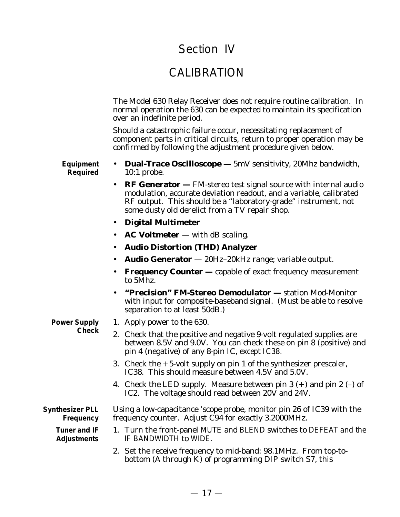## Section IV

## CALIBRATION

The Model 630 Relay Receiver does not require routine calibration. In normal operation the 630 can be expected to maintain its specification over an indefinite period.

Should a catastrophic failure occur, necessitating replacement of component parts in critical circuits, return to proper operation may be confirmed by following the adjustment procedure given below.

**Equipment Required**

- **Dual-Trace Oscilloscope —** 5mV sensitivity, 20Mhz bandwidth, 10:1 probe.
- **RF Generator —** FM-stereo test signal source with internal audio modulation, accurate deviation readout, and a variable, calibrated RF output. This should be a "laboratory-grade" instrument, not some dusty old derelict from a TV repair shop.
- **Digital Multimeter**
- **AC Voltmeter** with dB scaling.
- **Audio Distortion (THD) Analyzer**
- **Audio Generator** 20Hz–20kHz range; variable output.
- **Frequency Counter —** capable of exact frequency measurement to 5Mhz.
- **"Precision" FM-Stereo Demodulator —** station Mod-Monitor with input for composite-baseband signal. (Must be able to resolve separation to at least 50dB.)
- **Power Supply Check**
- 1. Apply power to the 630.
- 2. Check that the positive and negative 9-volt regulated supplies are between 8.5V and 9.0V. You can check these on pin 8 (positive) and pin 4 (negative) of any 8-pin IC, *except IC38.*
- 3. Check the  $+5$ -volt supply on pin 1 of the synthesizer prescaler, IC38. This should measure between 4.5V and 5.0V.
- 4. Check the LED supply. Measure between pin 3  $(+)$  and pin 2  $(-)$  of IC2. The voltage should read between 20V and 24V.

**Synthesizer PLL Frequency**

> **Tuner and IF Adjustments**

- Using a low-capacitance 'scope probe, monitor pin 26 of IC39 with the frequency counter. Adjust C94 for exactly 3.2000MHz.
	- 1. Turn the front-panel MUTE and BLEND switches to DEFEAT and the IF BANDWIDTH to WIDE.
	- 2. Set the receive frequency to mid-band: 98.1MHz. From top-tobottom (A through K) of programming DIP switch S7, this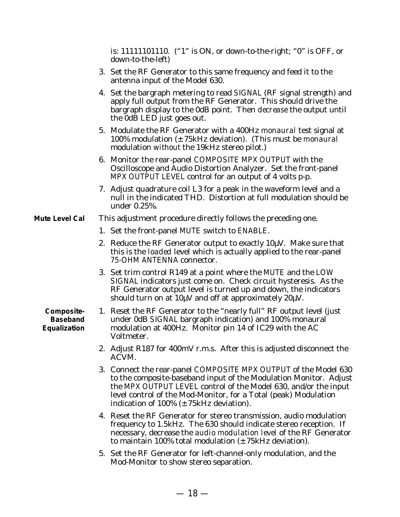is: 11111101110. ("1" is ON, or down-to-the-right; "0" is OFF, or down-to-the-left)

- 3. Set the RF Generator to this same frequency and feed it to the antenna input of the Model 630.
- 4. Set the bargraph metering to read SIGNAL (RF signal strength) and apply full output from the RF Generator. This should drive the bargraph display to the 0dB point. Then *decrease* the output until the 0dB LED just goes out.
- 5. Modulate the RF Generator with a 400Hz *monaural* test signal at 100% modulation (±75kHz deviation). (This must be *monaural* modulation *without* the 19kHz stereo pilot.)
- 6. Monitor the rear-panel COMPOSITE MPX OUTPUT with the Oscilloscope and Audio Distortion Analyzer. Set the front-panel MPX OUTPUT LEVEL control for an output of 4 volts p-p.
- 7. Adjust quadrature coil L3 for a peak in the waveform level and a null in the indicated THD. Distortion at full modulation should be under 0.25%.
- **Mute Level Cal** This adjustment procedure directly follows the preceding one.
	- 1. Set the front-panel MUTE switch to ENABLE.
	- 2. Reduce the RF Generator output to exactly  $10\mu$ V. Make sure that this is the *loaded* level which is actually applied to the rear-panel 75-OHM ANTENNA connector.
	- 3. Set trim control R149 at a point where the MUTE and the LOW SIGNAL indicators just come on. Check circuit hysteresis. As the RF Generator output level is turned up and down, the indicators should turn on at  $10 \mu V$  and off at approximately  $20 \mu V$ .

**Composite-Baseband Equalization**

- 1. Reset the RF Generator to the "nearly full" RF output level (just under 0dB SIGNAL bargraph indication) and 100% monaural modulation at 400Hz. Monitor pin 14 of IC29 with the AC Voltmeter.
	- 2. Adjust R187 for 400mV r.m.s. After this is adjusted disconnect the ACVM.
	- 3. Connect the rear-panel COMPOSITE MPX OUTPUT of the Model 630 to the composite-baseband input of the Modulation Monitor. Adjust the MPX OUTPUT LEVEL control of the Model 630, and/or the input level control of the Mod-Monitor, for a Total (peak) Modulation indication of  $100\%$  ( $\pm$  75kHz deviation).
	- 4. Reset the RF Generator for stereo transmission, audio modulation frequency to 1.5kHz. The 630 should indicate stereo reception. If necessary, decrease the *audio modulation level* of the RF Generator to maintain 100% total modulation  $(\pm 75 \text{kHz}$  deviation).
	- 5. Set the RF Generator for left-channel-only modulation, and the Mod-Monitor to show stereo separation.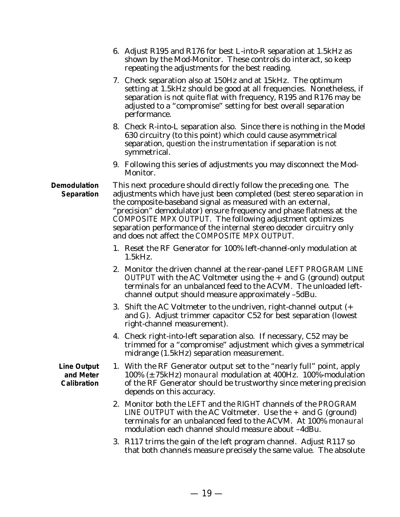|                                                | 6. Adjust R195 and R176 for best L-into-R separation at 1.5kHz as<br>shown by the Mod-Monitor. These controls do interact, so keep<br>repeating the adjustments for the best reading.                                                                                                                                                                                                                                                                                 |
|------------------------------------------------|-----------------------------------------------------------------------------------------------------------------------------------------------------------------------------------------------------------------------------------------------------------------------------------------------------------------------------------------------------------------------------------------------------------------------------------------------------------------------|
|                                                | 7. Check separation also at 150Hz and at 15kHz. The optimum<br>setting at 1.5 kHz should be good at all frequencies. Nonetheless, if<br>separation is not quite flat with frequency, R195 and R176 may be<br>adjusted to a "compromise" setting for best overall separation<br>performance.                                                                                                                                                                           |
|                                                | 8. Check R-into-L separation also. Since there is nothing in the Model<br>630 circuitry (to this point) which could cause asymmetrical<br>separation, question the instrumentation if separation is not<br>symmetrical.                                                                                                                                                                                                                                               |
|                                                | 9. Following this series of adjustments you may disconnect the Mod-<br>Monitor.                                                                                                                                                                                                                                                                                                                                                                                       |
| <b>Demodulation</b><br>Separation              | This next procedure should directly follow the preceding one. The<br>adjustments which have just been completed (best stereo separation in<br>the composite-baseband signal as measured with an external,<br>"precision" demodulator) ensure frequency and phase flatness at the<br>COMPOSITE MPX OUTPUT. The following adjustment optimizes<br>separation performance of the internal stereo decoder circuitry only<br>and does not affect the COMPOSITE MPX OUTPUT. |
|                                                | 1. Reset the RF Generator for 100% left-channel-only modulation at<br>1.5kHz.                                                                                                                                                                                                                                                                                                                                                                                         |
|                                                | 2. Monitor the driven channel at the rear-panel LEFT PROGRAM LINE<br>OUTPUT with the AC Voltmeter using the + and G (ground) output<br>terminals for an unbalanced feed to the ACVM. The unloaded left-<br>channel output should measure approximately -5dBu.                                                                                                                                                                                                         |
|                                                | 3. Shift the AC Voltmeter to the undriven, right-channel output (+<br>and G). Adjust trimmer capacitor C52 for best separation (lowest<br>right-channel measurement).                                                                                                                                                                                                                                                                                                 |
|                                                | 4. Check right-into-left separation also. If necessary, C52 may be<br>trimmed for a "compromise" adjustment which gives a symmetrical<br>midrange (1.5kHz) separation measurement.                                                                                                                                                                                                                                                                                    |
| <b>Line Output</b><br>and Meter<br>Calibration | 1. With the RF Generator output set to the "nearly full" point, apply<br>100% $(\pm 75$ kHz) monaural modulation at 400Hz. 100%-modulation<br>of the RF Generator should be trustworthy since metering precision<br>depends on this accuracy.                                                                                                                                                                                                                         |
|                                                | 2. Monitor both the LEFT and the RIGHT channels of the PROGRAM<br>LINE OUTPUT with the AC Voltmeter. Use the $+$ and G (ground)<br>terminals for an unbalanced feed to the ACVM. At 100% monaural<br>modulation each channel should measure about -4dBu.                                                                                                                                                                                                              |
|                                                | 3. R117 trims the gain of the left program channel. Adjust R117 so<br>that both channels measure precisely the same value. The absolute                                                                                                                                                                                                                                                                                                                               |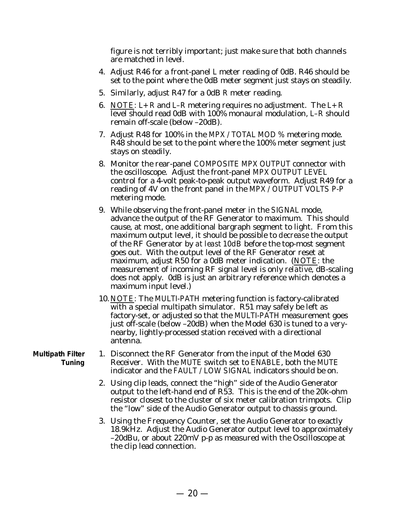figure is not terribly important; just make sure that both channels are matched in level.

- 4. Adjust R46 for a front-panel L meter reading of 0dB. R46 should be set to the point where the 0dB meter segment just stays on steadily.
- 5. Similarly, adjust R47 for a 0dB R meter reading.
- 6. *NOTE:*  $L+R$  and  $L-R$  metering requires no adjustment. The  $L+R$ level should read 0dB with 100% monaural modulation, L–R should remain off-scale (below –20dB).
- 7. Adjust R48 for 100% in the MPX / TOTAL MOD % metering mode. R48 should be set to the point where the 100% meter segment just stays on steadily.
- 8. Monitor the rear-panel COMPOSITE MPX OUTPUT connector with the oscilloscope. Adjust the front-panel MPX OUTPUT LEVEL control for a 4-volt peak-to-peak output waveform. Adjust R49 for a reading of 4V on the front panel in the MPX / OUTPUT VOLTS P-P metering mode.
- 9. While observing the front-panel meter in the SIGNAL mode, advance the output of the RF Generator to maximum. This should cause, at most, one additional bargraph segment to light. From this maximum output level, it should be possible to *decrease* the output of the RF Generator by *at least 10dB* before the top-most segment goes out. With the output level of the RF Generator reset at maximum, adjust R50 for a 0dB meter indication. (*NOTE:* the measurement of incoming RF signal level is only *relative*, dB-scaling does not apply. 0dB is just an arbitrary reference which denotes a maximum input level.)
- 10. *NOTE:* The MULTI-PATH metering function is factory-calibrated with a special multipath simulator. R51 may safely be left as factory-set, or adjusted so that the MULTI-PATH measurement goes just off-scale (below –20dB) when the Model 630 is tuned to a *very*nearby, lightly-processed station received with a directional antenna.

**Multipath Filter Tuning**

- 1. Disconnect the RF Generator from the input of the Model 630 Receiver. With the MUTE switch set to ENABLE, both the MUTE indicator and the FAULT / LOW SIGNAL indicators should be on.
	- 2. Using clip leads, connect the "high" side of the Audio Generator output to the left-hand end of R53. This is the end of the 20k-ohm resistor closest to the cluster of six meter calibration trimpots. Clip the "low" side of the Audio Generator output to chassis ground.
	- 3. Using the Frequency Counter, set the Audio Generator to exactly 18.9kHz. Adjust the Audio Generator output level to approximately –20dBu, or about 220mV p-p as measured with the Oscilloscope at the clip lead connection.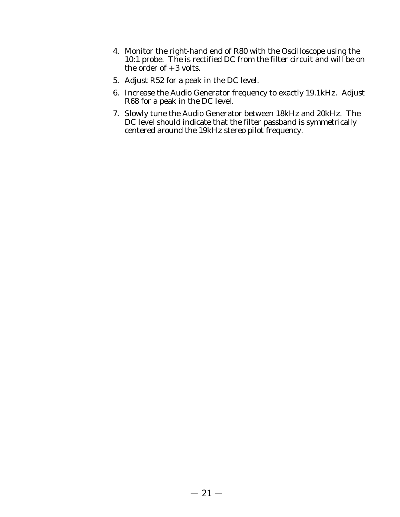- 4. Monitor the right-hand end of R80 with the Oscilloscope using the 10:1 probe. The is rectified DC from the filter circuit and will be on the order of  $+3$  volts.
- 5. Adjust R52 for a peak in the DC level.
- 6. Increase the Audio Generator frequency to exactly 19.1kHz. Adjust R68 for a peak in the DC level.
- 7. Slowly tune the Audio Generator between 18kHz and 20kHz. The DC level should indicate that the filter passband is symmetrically centered around the 19kHz stereo pilot frequency.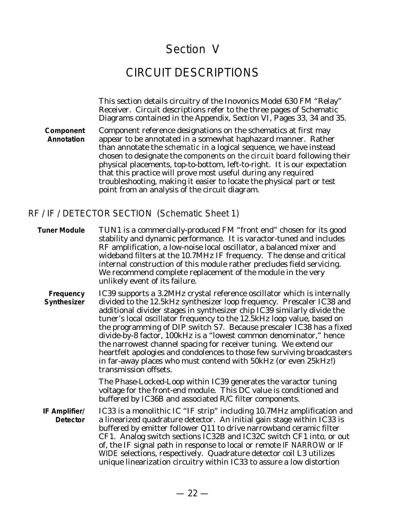## Section V

## CIRCUIT DESCRIPTIONS

This section details circuitry of the Inovonics Model 630 FM "Relay" Receiver. Circuit descriptions refer to the three pages of Schematic Diagrams contained in the Appendix, Section VI, Pages 33, 34 and 35.

**Component Annotation** Component reference designations on the schematics at first may appear to be annotated in a somewhat haphazard manner. Rather than annotate the *schematic* in a logical sequence, we have instead chosen to designate the *components on the circuit board* following their physical placements, top-to-bottom, left-to-right. It is our expectation that this practice will prove most useful during any required troubleshooting, making it easier to locate the physical part or test point from an analysis of the circuit diagram.

#### RF / IF / DETECTOR SECTION (Schematic Sheet 1)

- **Tuner Module** TUN1 is a commercially-produced FM "front end" chosen for its good stability and dynamic performance. It is varactor-tuned and includes RF amplification, a low-noise local oscillator, a balanced mixer and wideband filters at the 10.7MHz IF frequency. The dense and critical internal construction of this module rather precludes field servicing. We recommend complete replacement of the module in the very unlikely event of its failure.
	- **Frequency Synthesizer** IC39 supports a 3.2MHz crystal reference oscillator which is internally divided to the 12.5kHz synthesizer loop frequency. Prescaler IC38 and additional divider stages in synthesizer chip IC39 similarly divide the tuner's local oscillator frequency to the 12.5kHz loop value, based on the programming of DIP switch S7. Because prescaler IC38 has a fixed divide-by-8 factor, 100kHz is a "lowest common denominator," hence the narrowest channel spacing for receiver tuning. We extend our heartfelt apologies and condolences to those few surviving broadcasters in far-away places who must contend with 50kHz (or even 25kHz!) transmission offsets.

The Phase-Locked-Loop within IC39 generates the varactor tuning voltage for the front-end module. This DC value is conditioned and buffered by IC36B and associated R/C filter components.

**IF Amplifier/ Detector** IC33 is a monolithic IC "IF strip" including 10.7MHz amplification and a linearized quadrature detector. An initial gain stage within IC33 is buffered by emitter follower Q11 to drive narrowband ceramic filter CF1. Analog switch sections IC32B and IC32C switch CF1 into, or out of, the IF signal path in response to local or remote IF NARROW or IF WIDE selections, respectively. Quadrature detector coil L3 utilizes unique linearization circuitry within IC33 to assure a low distortion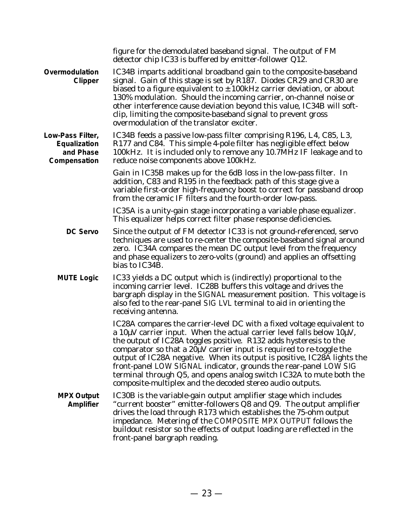|                                                               | figure for the demodulated baseband signal. The output of FM<br>detector chip IC33 is buffered by emitter-follower Q12.                                                                                                                                                                                                                                                                                                                                                                                                                                                                        |
|---------------------------------------------------------------|------------------------------------------------------------------------------------------------------------------------------------------------------------------------------------------------------------------------------------------------------------------------------------------------------------------------------------------------------------------------------------------------------------------------------------------------------------------------------------------------------------------------------------------------------------------------------------------------|
| Overmodulation<br>Clipper                                     | IC34B imparts additional broadband gain to the composite-baseband<br>signal. Gain of this stage is set by R187. Diodes CR29 and CR30 are<br>biased to a figure equivalent to $\pm$ 100kHz carrier deviation, or about<br>130% modulation. Should the incoming carrier, on-channel noise or<br>other interference cause deviation beyond this value, IC34B will soft-<br>clip, limiting the composite-baseband signal to prevent gross<br>overmodulation of the translator exciter.                                                                                                             |
| Low-Pass Filter,<br>Equalization<br>and Phase<br>Compensation | IC34B feeds a passive low-pass filter comprising R196, L4, C85, L3,<br>R177 and C84. This simple 4-pole filter has negligible effect below<br>100kHz. It is included only to remove any 10.7MHz IF leakage and to<br>reduce noise components above 100kHz.                                                                                                                                                                                                                                                                                                                                     |
|                                                               | Gain in IC35B makes up for the 6dB loss in the low-pass filter. In<br>addition, C83 and R195 in the feedback path of this stage give a<br>variable first-order high-frequency boost to correct for passband droop<br>from the ceramic IF filters and the fourth-order low-pass.                                                                                                                                                                                                                                                                                                                |
|                                                               | IC35A is a unity-gain stage incorporating a variable phase equalizer.<br>This equalizer helps correct filter phase response deficiencies.                                                                                                                                                                                                                                                                                                                                                                                                                                                      |
| <b>DC Servo</b>                                               | Since the output of FM detector IC33 is not ground-referenced, servo<br>techniques are used to re-center the composite-baseband signal around<br>zero. IC34A compares the mean DC output level from the frequency<br>and phase equalizers to zero-volts (ground) and applies an offsetting<br>bias to IC34B.                                                                                                                                                                                                                                                                                   |
| <b>MUTE Logic</b>                                             | IC33 yields a DC output which is (indirectly) proportional to the<br>incoming carrier level. IC28B buffers this voltage and drives the<br>bargraph display in the SIGNAL measurement position. This voltage is<br>also fed to the rear-panel SIG LVL terminal to aid in orienting the<br>receiving antenna.                                                                                                                                                                                                                                                                                    |
|                                                               | IC28A compares the carrier-level DC with a fixed voltage equivalent to<br>a $10\mu$ V carrier input. When the actual carrier level falls below $10\mu$ V,<br>the output of IC28A toggles positive. R132 adds hysteresis to the<br>comparator so that a $20\mu$ V carrier input is required to re-toggle the<br>output of IC28A negative. When its output is positive, IC28A lights the<br>front-panel LOW SIGNAL indicator, grounds the rear-panel LOW SIG<br>terminal through Q5, and opens analog switch IC32A to mute both the<br>composite-multiplex and the decoded stereo audio outputs. |
| <b>MPX Output</b><br><b>Amplifier</b>                         | IC30B is the variable-gain output amplifier stage which includes<br>"current booster" emitter-followers Q8 and Q9. The output amplifier<br>drives the load through R173 which establishes the 75-ohm output<br>impedance. Metering of the COMPOSITE MPX OUTPUT follows the<br>buildout resistor so the effects of output loading are reflected in the<br>front-panel bargraph reading.                                                                                                                                                                                                         |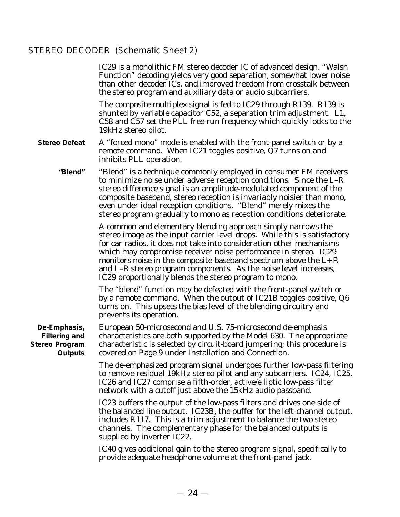## STEREO DECODER (Schematic Sheet 2)

|                                                                                 | IC29 is a monolithic FM stereo decoder IC of advanced design. "Walsh<br>Function" decoding yields very good separation, somewhat lower noise<br>than other decoder ICs, and improved freedom from crosstalk between<br>the stereo program and auxiliary data or audio subcarriers.                                                                                                                                                                                                        |
|---------------------------------------------------------------------------------|-------------------------------------------------------------------------------------------------------------------------------------------------------------------------------------------------------------------------------------------------------------------------------------------------------------------------------------------------------------------------------------------------------------------------------------------------------------------------------------------|
|                                                                                 | The composite-multiplex signal is fed to IC29 through R139. R139 is<br>shunted by variable capacitor C52, a separation trim adjustment. L1,<br>C58 and C57 set the PLL free-run frequency which quickly locks to the<br>19kHz stereo pilot.                                                                                                                                                                                                                                               |
| <b>Stereo Defeat</b>                                                            | A "forced mono" mode is enabled with the front-panel switch or by a<br>remote command. When IC21 toggles positive, Q7 turns on and<br>inhibits PLL operation.                                                                                                                                                                                                                                                                                                                             |
| "Blend"                                                                         | "Blend" is a technique commonly employed in consumer FM receivers<br>to minimize noise under adverse reception conditions. Since the L-R<br>stereo difference signal is an amplitude-modulated component of the<br>composite baseband, stereo reception is invariably noisier than mono,<br>even under ideal reception conditions. "Blend" merely mixes the<br>stereo program gradually to mono as reception conditions deteriorate.                                                      |
|                                                                                 | A common and elementary blending approach simply narrows the<br>stereo image as the input carrier level drops. While this is satisfactory<br>for car radios, it does not take into consideration other mechanisms<br>which may compromise receiver noise performance in stereo. IC29<br>monitors noise in the composite-baseband spectrum above the $L + R$<br>and L-R stereo program components. As the noise level increases,<br>IC29 proportionally blends the stereo program to mono. |
|                                                                                 | The "blend" function may be defeated with the front-panel switch or<br>by a remote command. When the output of IC21B toggles positive, Q6<br>turns on. This upsets the bias level of the blending circuitry and<br>prevents its operation.                                                                                                                                                                                                                                                |
| De-Emphasis,<br><b>Filtering and</b><br><b>Stereo Program</b><br><b>Outputs</b> | European 50-microsecond and U.S. 75-microsecond de-emphasis<br>characteristics are both supported by the Model 630. The appropriate<br>characteristic is selected by circuit-board jumpering; this procedure is<br>covered on Page 9 under Installation and Connection.                                                                                                                                                                                                                   |
|                                                                                 | The de-emphasized program signal undergoes further low-pass filtering<br>to remove residual 19kHz stereo pilot and any subcarriers. IC24, IC25,<br>IC26 and IC27 comprise a fifth-order, active/elliptic low-pass filter<br>network with a cutoff just above the 15kHz audio passband.                                                                                                                                                                                                    |
|                                                                                 | IC23 buffers the output of the low-pass filters and drives one side of<br>the balanced line output. IC23B, the buffer for the left-channel output,<br>includes R117. This is a trim adjustment to balance the two stereo<br>channels. The complementary phase for the balanced outputs is<br>supplied by inverter IC22.                                                                                                                                                                   |
|                                                                                 | IC40 gives additional gain to the stereo program signal, specifically to<br>provide adequate headphone volume at the front-panel jack.                                                                                                                                                                                                                                                                                                                                                    |
|                                                                                 |                                                                                                                                                                                                                                                                                                                                                                                                                                                                                           |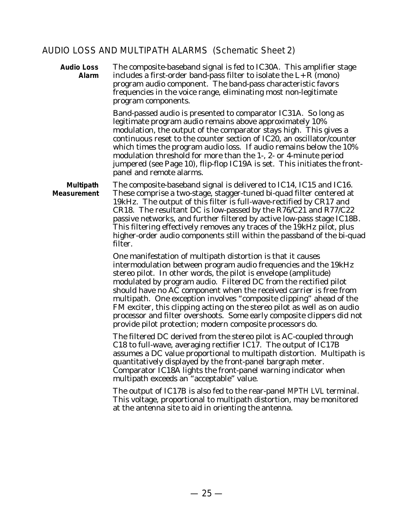#### AUDIO LOSS AND MULTIPATH ALARMS (Schematic Sheet 2)

**Audio Loss Alarm** The composite-baseband signal is fed to IC30A. This amplifier stage includes a first-order band-pass filter to isolate the  $L+R$  (mono) program audio component. The band-pass characteristic favors frequencies in the voice range, eliminating most non-legitimate program components.

> Band-passed audio is presented to comparator IC31A. So long as legitimate program audio remains above approximately 10% modulation, the output of the comparator stays high. This gives a continuous reset to the counter section of IC20, an oscillator/counter which times the program audio loss. If audio remains below the 10% modulation threshold for more than the 1-, 2- or 4-minute period jumpered (see Page 10), flip-flop IC19A is set. This initiates the frontpanel and remote alarms.

**Multipath Measurement** The composite-baseband signal is delivered to IC14, IC15 and IC16. These comprise a two-stage, stagger-tuned bi-quad filter centered at 19kHz. The output of this filter is full-wave-rectified by CR17 and CR18. The resultant DC is low-passed by the R76/C21 and R77/C22 passive networks, and further filtered by active low-pass stage IC18B. This filtering effectively removes any traces of the 19kHz pilot, plus higher-order audio components still within the passband of the bi-quad filter.

> One manifestation of multipath distortion is that it causes intermodulation between program audio frequencies and the 19kHz stereo pilot. In other words, the pilot is envelope (amplitude) modulated by program audio. Filtered DC from the rectified pilot should have no AC component when the received carrier is free from multipath. One exception involves "composite clipping" ahead of the FM exciter, this clipping acting on the stereo pilot as well as on audio processor and filter overshoots. Some early composite clippers did not provide pilot protection; modern composite processors do.

The filtered DC derived from the stereo pilot is AC-coupled through C18 to full-wave, averaging rectifier IC17. The output of IC17B assumes a DC value proportional to multipath distortion. Multipath is quantitatively displayed by the front-panel bargraph meter. Comparator IC18A lights the front-panel warning indicator when multipath exceeds an "acceptable" value.

The output of IC17B is also fed to the rear-panel MPTH LVL terminal. This voltage, proportional to multipath distortion, may be monitored at the antenna site to aid in orienting the antenna.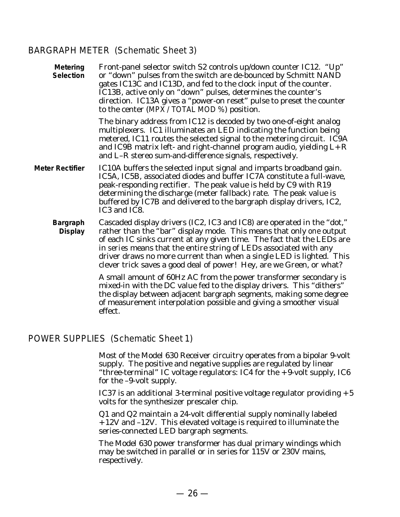#### BARGRAPH METER (Schematic Sheet 3)

| <b>Metering</b><br><b>Selection</b> | Front-panel selector switch S2 controls up/down counter IC12. "Up"<br>or "down" pulses from the switch are de-bounced by Schmitt NAND<br>gates IC13C and IC13D, and fed to the clock input of the counter.<br>IC13B, active only on "down" pulses, determines the counter's<br>direction. IC13A gives a "power-on reset" pulse to preset the counter<br>to the center (MPX / TOTAL MOD %) position.                                           |
|-------------------------------------|-----------------------------------------------------------------------------------------------------------------------------------------------------------------------------------------------------------------------------------------------------------------------------------------------------------------------------------------------------------------------------------------------------------------------------------------------|
|                                     | The binary address from IC12 is decoded by two one-of-eight analog<br>multiplexers. IC1 illuminates an LED indicating the function being<br>metered, IC11 routes the selected signal to the metering circuit. IC9A<br>and IC9B matrix left- and right-channel program audio, yielding $L + R$<br>and L-R stereo sum-and-difference signals, respectively.                                                                                     |
| Meter Rectifier                     | IC10A buffers the selected input signal and imparts broadband gain.<br>IC5A, IC5B, associated diodes and buffer IC7A constitute a full-wave,<br>peak-responding rectifier. The peak value is held by C9 with R19<br>determining the discharge (meter fallback) rate. The peak value is<br>buffered by IC7B and delivered to the bargraph display drivers, IC2,<br>IC3 and IC8.                                                                |
| <b>Bargraph</b><br><b>Display</b>   | Cascaded display drivers (IC2, IC3 and IC8) are operated in the "dot,"<br>rather than the "bar" display mode. This means that only one output<br>of each IC sinks current at any given time. The fact that the LEDs are<br>in series means that the entire string of LEDs associated with any<br>driver draws no more current than when a single LED is lighted. This<br>clever trick saves a good deal of power! Hey, are we Green, or what? |
|                                     | A small amount of 60Hz AC from the power transformer secondary is<br>mixed-in with the DC value fed to the display drivers. This "dithers"<br>the display between adjacent bargraph segments, making some degree<br>of measurement interpolation possible and giving a smoother visual<br>effect.                                                                                                                                             |

#### POWER SUPPLIES (Schematic Sheet 1)

Most of the Model 630 Receiver circuitry operates from a bipolar 9-volt supply. The positive and negative supplies are regulated by linear "three-terminal" IC voltage regulators: IC4 for the +9-volt supply, IC6 for the –9-volt supply.

IC37 is an additional 3-terminal positive voltage regulator providing  $+5$ volts for the synthesizer prescaler chip.

Q1 and Q2 maintain a 24-volt differential supply nominally labeled +12V and –12V. This elevated voltage is required to illuminate the series-connected LED bargraph segments.

The Model 630 power transformer has dual primary windings which may be switched in parallel or in series for 115V or 230V mains, respectively.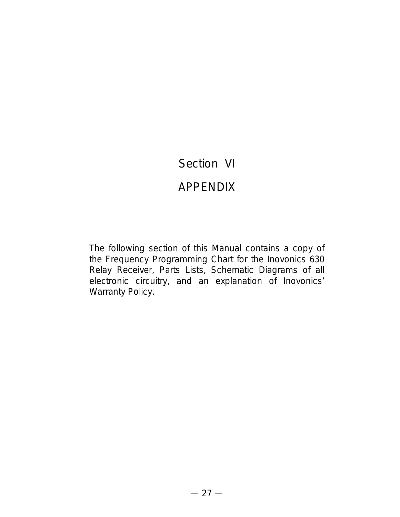## Section VI

## APPENDIX

The following section of this Manual contains a copy of the Frequency Programming Chart for the Inovonics 630 Relay Receiver, Parts Lists, Schematic Diagrams of all electronic circuitry, and an explanation of Inovonics' Warranty Policy.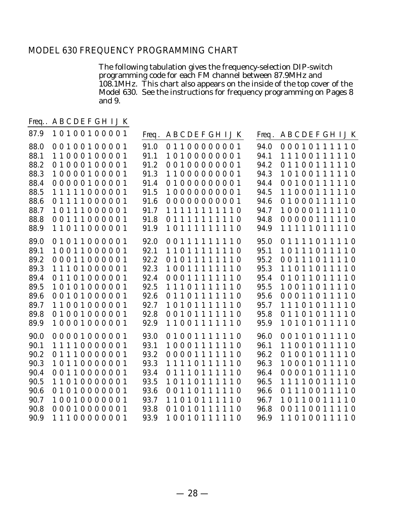#### MODEL 630 FREQUENCY PROGRAMMING CHART

The following tabulation gives the frequency-selection DIP-switch programming code for each FM channel between 87.9MHz and 108.1MHz. This chart also appears on the inside of the top cover of the Model 630. See the instructions for frequency programming on Pages 8 and 9.

Freq. A B C D E F G H I J K

| 87.9                                                                         | 10100100001                                                                                                                                        | <b>ABCDEFGHIJK</b><br>Freq.                                                                                                                                                                                                                | <b>ABCDEFGHIJK</b><br>Freq.                                                                                                                                                                                                                                                       |
|------------------------------------------------------------------------------|----------------------------------------------------------------------------------------------------------------------------------------------------|--------------------------------------------------------------------------------------------------------------------------------------------------------------------------------------------------------------------------------------------|-----------------------------------------------------------------------------------------------------------------------------------------------------------------------------------------------------------------------------------------------------------------------------------|
| 88.0<br>88.1<br>88.2<br>88.3<br>88.4<br>88.5<br>88.6<br>88.7<br>88.8<br>88.9 | 00100100001<br>11000100001<br>01000100001<br>10000100001<br>00000100001<br>11111000001<br>01111000001<br>10111000001<br>00111000001<br>11011000001 | 91.0<br>01100000001<br>91.1<br>10100000001<br>91.2<br>00100000001<br>91.3<br>11000000001<br>91.4<br>01000000001<br>10000000001<br>91.5<br>91.6<br>00000000001<br>91.7<br>11111111110<br>91.8<br>01111111110<br>91.9<br>10111111110         | 94.0<br>00010111110<br>94.1<br>11100111<br>110<br>94.2<br>$\mathbf{1}$<br>1 <sub>0</sub><br>01100111<br>110<br>94.3<br>10100111<br>110<br>94.4<br>00100111<br>94.5<br>11000111110<br>94.6<br>01000111110<br>94.7<br>10000111<br>110<br>94.8<br>00000111110<br>94.9<br>11111011110 |
| 89.0<br>89.1<br>89.2<br>89.3<br>89.4<br>89.5<br>89.6<br>89.7<br>89.8<br>89.9 | 01011000001<br>10011000001<br>00011000001<br>11101000001<br>01101000001<br>10101000001<br>00101000001<br>11001000001<br>01001000001<br>10001000001 | 92.0<br>001111111<br>10<br>92.1<br>11011111<br>110<br>92.2<br>01011111110<br>92.3<br>10011111110<br>00011111110<br>92.4<br>92.5<br>11101111110<br>92.6<br>01101111110<br>92.7<br>10101111110<br>92.8<br>00101111110<br>92.9<br>11001111110 | 95.0<br>01111011110<br>95.1<br>10111011<br>110<br>95.2<br>00111011110<br>95.3<br>11011011<br>110<br>95.4<br>01011011110<br>95.5<br>10011011<br>110<br>95.6<br>00011011<br>110<br>95.7<br>11101011110<br>95.8<br>01101011110<br>95.9<br>10101011110                                |
| 90.0<br>90.1<br>90.2<br>90.3<br>90.4<br>90.5<br>90.6<br>90.7<br>90.8<br>90.9 | 00001000001<br>11110000001<br>01110000001<br>10110000001<br>00110000001<br>11010000001<br>01010000001<br>10010000001<br>00010000001<br>11100000001 | 93.0<br>01001111110<br>93.1<br>10001111110<br>93.2<br>00001111110<br>93.3<br>11110111110<br>93.4<br>01110111110<br>93.5<br>10110111<br>110<br>93.6<br>00110111110<br>93.7<br>11010111<br>110<br>93.8<br>01010111110<br>93.9<br>10010111110 | 96.0<br>00101011110<br>96.1<br>11001011110<br>96.2<br>01001011110<br>96.3<br>10001011110<br>96.4<br>00001011<br>110<br>11110011<br>96.5<br>110<br>01110011<br>96.6<br>110<br>96.7<br>10110011<br>110<br>00110011110<br>96.8<br>11010011110<br>96.9                                |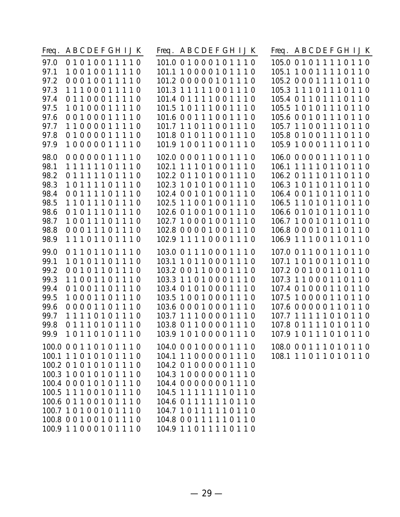| Freq. | ABCDEFGHIJK                                                                                                                                                                                                                                                                | <b>ABCDEFGHIJK</b><br>Freq.                                                                                                                                                                                                                            | Freq. ABCDEFGHIJK                                          |
|-------|----------------------------------------------------------------------------------------------------------------------------------------------------------------------------------------------------------------------------------------------------------------------------|--------------------------------------------------------------------------------------------------------------------------------------------------------------------------------------------------------------------------------------------------------|------------------------------------------------------------|
| 97.0  | 01010011110                                                                                                                                                                                                                                                                | 101.0 0 1 0 0 0 1 0 1 1 1 0                                                                                                                                                                                                                            | 105.0 0 1 0 1 1 1 1 0 1 1 0                                |
| 97.1  | 10010011110                                                                                                                                                                                                                                                                | 101.1 10000101110                                                                                                                                                                                                                                      | 105.1 1 0 0 1 1 1 1 0 1 1 0                                |
| 97.2  | 00010011110                                                                                                                                                                                                                                                                | 101.2 0 0 0 0 0 1 0 1 1 1 0                                                                                                                                                                                                                            | 105.2 0 0 0 1 1 1 1 0 1 1 0                                |
| 97.3  | 11100011110                                                                                                                                                                                                                                                                | 101.3 1 1 1 1 1 0 0 1 1 1 0                                                                                                                                                                                                                            | 105.3 1 1 1 0 1 1 1 0 1 1 0                                |
| 97.4  | 01100011110                                                                                                                                                                                                                                                                | 101.4 0 1 1 1 1 0 0 1 1 1 0                                                                                                                                                                                                                            | 105.4 0 1 1 0 1 1 1 0 1 1 0                                |
| 97.5  | 10100011110                                                                                                                                                                                                                                                                | 101.5 10111001110                                                                                                                                                                                                                                      | 105.5 1 0 1 0 1 1 1 0 1 1 0                                |
| 97.6  | 00100011110                                                                                                                                                                                                                                                                | 101.6 0 0 1 1 1 0 0 1 1 1 0                                                                                                                                                                                                                            | 105.6 0 0 1 0 1 1 1 0 1 1 0                                |
| 97.7  | 11000011110                                                                                                                                                                                                                                                                | 101.7 11011001110                                                                                                                                                                                                                                      | 105.7 11001110110                                          |
| 97.8  | 01000011110                                                                                                                                                                                                                                                                | 101.8 0 1 0 1 1 0 0 1 1 1 0                                                                                                                                                                                                                            | 105.8 0 1 0 0 1 1 1 0 1 1 0                                |
| 97.9  | 10000011110                                                                                                                                                                                                                                                                | 101.9 10011001110                                                                                                                                                                                                                                      | 105.9 1 0 0 0 1 1 1 0 1 1 0                                |
| 98.0  | 00000011110                                                                                                                                                                                                                                                                | 102.0 0 0 0 1 1 0 0 1 1 1 0                                                                                                                                                                                                                            | 106.0 0 0 0 0 1 1 1 0 1 1 0                                |
| 98.1  | 11111101110                                                                                                                                                                                                                                                                | 102.1 1 1 1 0 1 0 0 1 1 1 0                                                                                                                                                                                                                            | 106.1 1 1 1 1 0 1 1 0 1 1 0                                |
| 98.2  | 01111101110                                                                                                                                                                                                                                                                | 102.2 0 1 1 0 1 0 0 1 1 1 0                                                                                                                                                                                                                            | 106.2 0 1 1 1 0 1 1 0 1 1 0                                |
| 98.3  | 10111101110                                                                                                                                                                                                                                                                | 102.3 10101001110                                                                                                                                                                                                                                      | 106.3 1 0 1 1 0 1 1 0 1 1 0                                |
| 98.4  | 00111101110                                                                                                                                                                                                                                                                | 102.4 0 0 1 0 1 0 0 1 1 1 0                                                                                                                                                                                                                            | 106.4 0 0 1 1 0 1 1 0 1 1 0                                |
| 98.5  | 11011101110                                                                                                                                                                                                                                                                | 102.5 11001001110                                                                                                                                                                                                                                      | 106.5 11010110110                                          |
| 98.6  | 01011101110                                                                                                                                                                                                                                                                | 102.6 01001001110                                                                                                                                                                                                                                      | 106.6 0 1 0 1 0 1 1 0 1 1 0                                |
| 98.7  | 10011101110                                                                                                                                                                                                                                                                | 102.7 10001001110                                                                                                                                                                                                                                      | 106.7 10010110110                                          |
| 98.8  | 00011101110                                                                                                                                                                                                                                                                | 102.8 0 0 0 0 1 0 0 1 1 1 0                                                                                                                                                                                                                            | 106.8 0 0 0 1 0 1 1 0 1 1 0                                |
| 98.9  | 11101101110                                                                                                                                                                                                                                                                | 102.9 1 1 1 1 0 0 0 1 1 1 0                                                                                                                                                                                                                            | 106.9 1 1 1 0 0 1 1 0 1 1 0                                |
| 99.0  | 01101101110                                                                                                                                                                                                                                                                | 103.0 0 1 1 1 0 0 0 1 1 1 0                                                                                                                                                                                                                            | 107.0 0 1 1 0 0 1 1 0 1 1 0                                |
| 99.1  | 10101101110                                                                                                                                                                                                                                                                | 103.1 10110001110                                                                                                                                                                                                                                      | 107.1 1 0 1 0 0 1 1 0 1 1 0                                |
| 99.2  | 00101101110                                                                                                                                                                                                                                                                | 103.2 0 0 1 1 0 0 0 1 1 1 0                                                                                                                                                                                                                            | 107.2 0 0 1 0 0 1 1 0 1 1 0                                |
| 99.3  | 11001101110                                                                                                                                                                                                                                                                | 103.3 11010001110                                                                                                                                                                                                                                      | 107.3 11000110110                                          |
| 99.4  | 01001101110                                                                                                                                                                                                                                                                | 103.4 01010001110                                                                                                                                                                                                                                      | 107.4 0 1 0 0 0 1 1 0 1 1 0                                |
| 99.5  | 10001101110                                                                                                                                                                                                                                                                | 103.5 10010001110                                                                                                                                                                                                                                      | 107.5 1 0 0 0 0 1 1 0 1 1 0                                |
| 99.6  | 00001101110                                                                                                                                                                                                                                                                | 103.6 0 0 0 1 0 0 0 1 1 1 0                                                                                                                                                                                                                            | 107.6 0 0 0 0 0 1 1 0 1 1 0                                |
| 99.7  | 11110101110                                                                                                                                                                                                                                                                | 103.7 11100001110                                                                                                                                                                                                                                      | 107.7 1 1 1 1 1 0 1 0 1 1 0                                |
| 99.8  | 01110101110                                                                                                                                                                                                                                                                | 103.8 0 1 1 0 0 0 0 1 1 1 0                                                                                                                                                                                                                            | 107.8 0 1 1 1 1 0 1 0 1 1 0                                |
| 99.9  | 10110101110                                                                                                                                                                                                                                                                | 103.9 10100001110                                                                                                                                                                                                                                      | 107.9 10111010110                                          |
|       | 100.0 0 0 1 1 0 1 0 1 1 1 0<br>100.1 1 1 0 1 0 1 0 1 1 1 0<br>100.2 0 1 0 1 0 1 0 1 1 1 0<br>100.3 10010101110<br>100.4 0 0 0 1 0 1 0 1 1 1 0<br>100.5 11100101110<br>100.6 0 1 1 0 0 1 0 1 1 1 0<br>100.7 1 0 1 0 0 1 0 1 1 1 0<br>100.8 00100101110<br>100.9 11000101110 | 104.0 0 0 1 0 0 0 0 1 1 1 0<br>104.1 11000001110<br>104.2 01000001110<br>104.3 10000001110<br>104.4 00000001110<br>104.5 1 1 1 1 1 1 1 0 1 1 0<br>104.6 0 1 1 1 1 1 1 0 1 1 0<br>104.7 10111110110<br>104.8 0 0 1 1 1 1 1 0 1 1 0<br>104.9 11011110110 | 108.0 0 0 1 1 1 0 1 0 1 1 0<br>108.1 1 1 0 1 1 0 1 0 1 1 0 |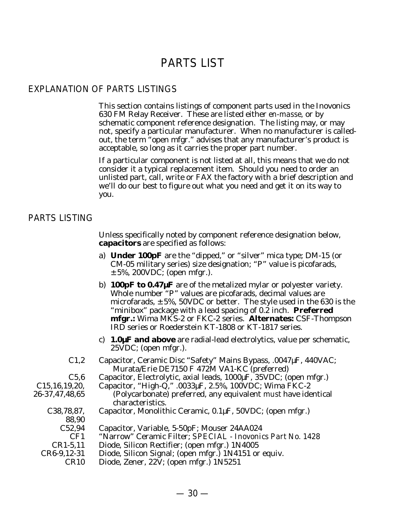## PARTS LIST

#### EXPLANATION OF PARTS LISTINGS

This section contains listings of component parts used in the Inovonics 630 FM Relay Receiver. These are listed either *en-masse,* or by schematic component reference designation. The listing may, or may not, specify a particular manufacturer. When no manufacturer is calledout, the term "open mfgr." advises that any manufacturer's product is acceptable, so long as it carries the proper part number.

If a particular component is not listed at all, this means that we do not consider it a typical replacement item. Should you need to order an unlisted part, call, write or FAX the factory with a brief description and we'll do our best to figure out what you need and get it on its way to you.

#### PARTS LISTING

Unless specifically noted by component reference designation below, **capacitors** are specified as follows:

- a) **Under 100pF** are the "dipped," or "silver" mica type; DM-15 (or CM-05 military series) size designation; "P" value is picofarads,  $\pm$  5%, 200VDC; (open mfgr.).
- b) **100pF to 0.47µF** are of the metalized mylar or polyester variety. Whole number "P" values are picofarads, decimal values are microfarads,  $\pm$  5%, 50VDC or better. The style used in the 630 is the "minibox" package with a lead spacing of 0.2 inch. **Preferred mfgr.:** Wima MKS-2 or FKC-2 series. **Alternates:** CSF-Thompson IRD series or Roederstein KT-1808 or KT-1817 series.
- c) **1.0µF and above** are radial-lead electrolytics, value per schematic, 25VDC; (open mfgr.).
- C1,2 Capacitor, Ceramic Disc "Safety" Mains Bypass, .0047µF, 440VAC; Murata/Erie DE7150 F 472M VA1-KC (preferred)
- C5,6 Capacitor, Electrolytic, axial leads, 1000µF, 35VDC; (open mfgr.)
	- Capacitor, "High-Q," .0033µF, 2.5%, 100VDC; Wima FKC-2
	- (Polycarbonate) preferred, any equivalent *must* have identical characteristics.
- C38,78,87, Capacitor, Monolithic Ceramic, 0.1µF, 50VDC; (open mfgr.)
- 88,90

C15,16,19,20, 26-37,47,48,65

- C52,94 Capacitor, Variable, 5-50pF; Mouser 24AA024
- CF1 "Narrow" Ceramic Filter; *SPECIAL Inovonics Part No. 1428*
- CR1-5,11 Diode, Silicon Rectifier; (open mfgr.) 1N4005
- CR6-9,12-31 Diode, Silicon Signal; (open mfgr.) 1N4151 or equiv.
	- CR10 Diode, Zener, 22V; (open mfgr.) 1N5251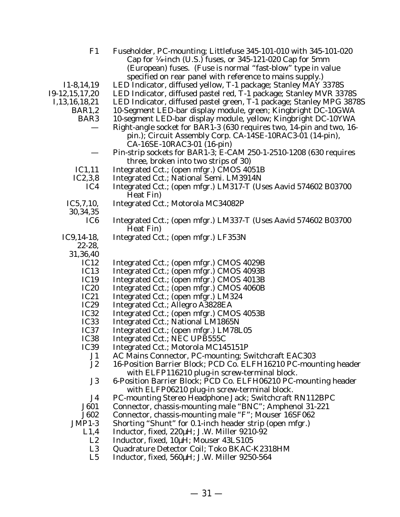| F1                | Fuseholder, PC-mounting; Littlefuse 345-101-010 with 345-101-020     |
|-------------------|----------------------------------------------------------------------|
|                   | Cap for 1/4-inch (U.S.) fuses, or 345-121-020 Cap for 5mm            |
|                   | (European) fuses. (Fuse is normal "fast-blow" type in value          |
|                   | specified on rear panel with reference to mains supply.)             |
| $I1-8, 14, 19$    | LED Indicator, diffused yellow, T-1 package; Stanley MAY 3378S       |
| 19-12, 15, 17, 20 | LED Indicator, diffused pastel red, T-1 package; Stanley MVR 3378S   |
| I, 13, 16, 18, 21 | LED Indicator, diffused pastel green, T-1 package; Stanley MPG 3878S |
| BAR1,2            | 10-Segment LED-bar display module, green; Kingbright DC-10GWA        |
| BAR <sub>3</sub>  | 10-segment LED-bar display module, yellow; Kingbright DC-10YWA       |
|                   | Right-angle socket for BAR1-3 (630 requires two, 14-pin and two, 16- |
|                   | pin.); Circuit Assembly Corp. CA-14SE-10RAC3-01 (14-pin),            |
|                   | CA-16SE-10RAC3-01 (16-pin)                                           |
|                   | Pin-strip sockets for BAR1-3; E-CAM 250-1-2510-1208 (630 requires    |
|                   | three, broken into two strips of 30)                                 |
| IC1,11            | Integrated Cct.; (open mfgr.) CMOS 4051B                             |
| IC2,3,8           | Integrated Cct.; National Semi. LM3914N                              |
| IC4               | Integrated Cct.; (open mfgr.) LM317-T (Uses Aavid 574602 B03700      |
|                   | Heat Fin)                                                            |
| IC5,7,10,         | Integrated Cct.; Motorola MC34082P                                   |
| 30, 34, 35        |                                                                      |
| IC <sub>6</sub>   | Integrated Cct.; (open mfgr.) LM337-T (Uses Aavid 574602 B03700      |
|                   | Heat Fin)                                                            |
| $IC9,14-18,$      | Integrated Cct.; (open mfgr.) LF353N                                 |
| $22 - 28$ ,       |                                                                      |
| 31,36,40          |                                                                      |
| IC12              | Integrated Cct.; (open mfgr.) CMOS 4029B                             |
| IC <sub>13</sub>  | Integrated Cct.; (open mfgr.) CMOS 4093B                             |
| IC19              | Integrated Cct.; (open mfgr.) CMOS 4013B                             |
| <b>IC20</b>       | Integrated Cct.; (open mfgr.) CMOS 4060B                             |
| IC21              | Integrated Cct.; (open mfgr.) LM324                                  |
| <b>IC29</b>       | Integrated Cct.; Allegro A3828EA                                     |
| IC32              | Integrated Cct.; (open mfgr.) CMOS 4053B                             |
| IC <sub>33</sub>  | Integrated Cct.; National LM1865N                                    |
| IC <sub>37</sub>  | Integrated Cct.; (open mfgr.) LM78L05                                |
| IC <sub>38</sub>  | Integrated Cct.; NEC UPB555C                                         |
| IC <sub>39</sub>  | Integrated Cct.; Motorola MC145151P                                  |
| J1                | AC Mains Connector, PC-mounting; Switchcraft EAC303                  |
| J <sub>2</sub>    | 16-Position Barrier Block; PCD Co. ELFH16210 PC-mounting header      |
|                   | with ELFP116210 plug-in screw-terminal block.                        |
| J3                | 6-Position Barrier Block; PCD Co. ELFH06210 PC-mounting header       |
|                   | with ELFP06210 plug-in screw-terminal block.                         |
| J4                | PC-mounting Stereo Headphone Jack; Switchcraft RN112BPC              |
| J601              | Connector, chassis-mounting male "BNC"; Amphenol 31-221              |
| J602              | Connector, chassis-mounting male "F"; Mouser 16SF062                 |
| $JMP1-3$          | Shorting "Shunt" for 0.1-inch header strip (open mfgr.)              |
| L1,4              | Inductor, fixed, 220µH; J.W. Miller 9210-92                          |
| L2                | Inductor, fixed, 10µH; Mouser 43LS105                                |
| L3                | Quadrature Detector Coil; Toko BKAC-K2318HM                          |
| T E               | Inductor fixed EQ0LL I W Miller 0250 EQ1                             |

L5 Inductor, fixed, 560µH; J.W. Miller 9250-564